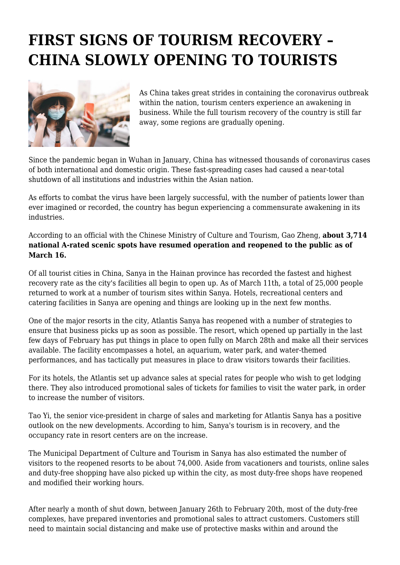## **FIRST SIGNS OF TOURISM RECOVERY – CHINA SLOWLY OPENING TO TOURISTS**



As China takes great strides in containing the coronavirus outbreak within the nation, tourism centers experience an awakening in business. While the full tourism recovery of the country is still far away, some regions are gradually opening.

Since the pandemic began in Wuhan in January, China has witnessed thousands of coronavirus cases of both international and domestic origin. These fast-spreading cases had caused a near-total shutdown of all institutions and industries within the Asian nation.

As efforts to combat the virus have been largely successful, with the number of patients lower than ever imagined or recorded, the country has begun experiencing a commensurate awakening in its industries.

According to an official with the Chinese Ministry of Culture and Tourism, Gao Zheng, **about 3,714 national A-rated scenic spots have resumed operation and reopened to the public as of March 16.**

Of all tourist cities in China, Sanya in the Hainan province has recorded the fastest and highest recovery rate as the city's facilities all begin to open up. As of March 11th, a total of 25,000 people returned to work at a number of tourism sites within Sanya. Hotels, recreational centers and catering facilities in Sanya are opening and things are looking up in the next few months.

One of the major resorts in the city, Atlantis Sanya has reopened with a number of strategies to ensure that business picks up as soon as possible. The resort, which opened up partially in the last few days of February has put things in place to open fully on March 28th and make all their services available. The facility encompasses a hotel, an aquarium, water park, and water-themed performances, and has tactically put measures in place to draw visitors towards their facilities.

For its hotels, the Atlantis set up advance sales at special rates for people who wish to get lodging there. They also introduced promotional sales of tickets for families to visit the water park, in order to increase the number of visitors.

Tao Yi, the senior vice-president in charge of sales and marketing for Atlantis Sanya has a positive outlook on the new developments. According to him, Sanya's tourism is in recovery, and the occupancy rate in resort centers are on the increase.

The Municipal Department of Culture and Tourism in Sanya has also estimated the number of visitors to the reopened resorts to be about 74,000. Aside from vacationers and tourists, online sales and duty-free shopping have also picked up within the city, as most duty-free shops have reopened and modified their working hours.

After nearly a month of shut down, between January 26th to February 20th, most of the duty-free complexes, have prepared inventories and promotional sales to attract customers. Customers still need to maintain social distancing and make use of protective masks within and around the